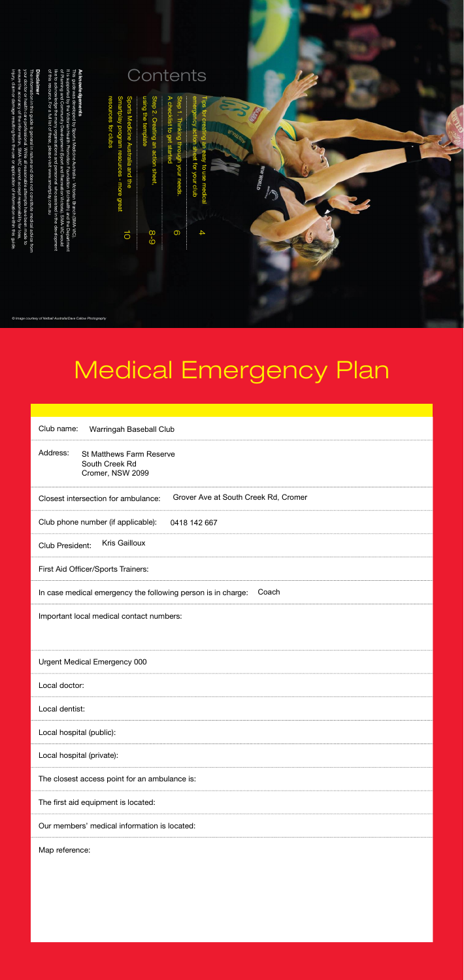# Medical Emergency Plan

| Club name:<br>Warringah Baseball Club                                             |  |  |
|-----------------------------------------------------------------------------------|--|--|
| Address:<br><b>St Matthews Farm Reserve</b><br>South Creek Rd<br>Cromer, NSW 2099 |  |  |
| Grover Ave at South Creek Rd, Cromer<br>Closest intersection for ambulance:       |  |  |
| Club phone number (if applicable):<br>0418 142 667                                |  |  |
| <b>Kris Gailloux</b><br><b>Club President:</b>                                    |  |  |
| <b>First Aid Officer/Sports Trainers:</b>                                         |  |  |
| Coach<br>In case medical emergency the following person is in charge:             |  |  |
| Important local medical contact numbers:                                          |  |  |
|                                                                                   |  |  |
|                                                                                   |  |  |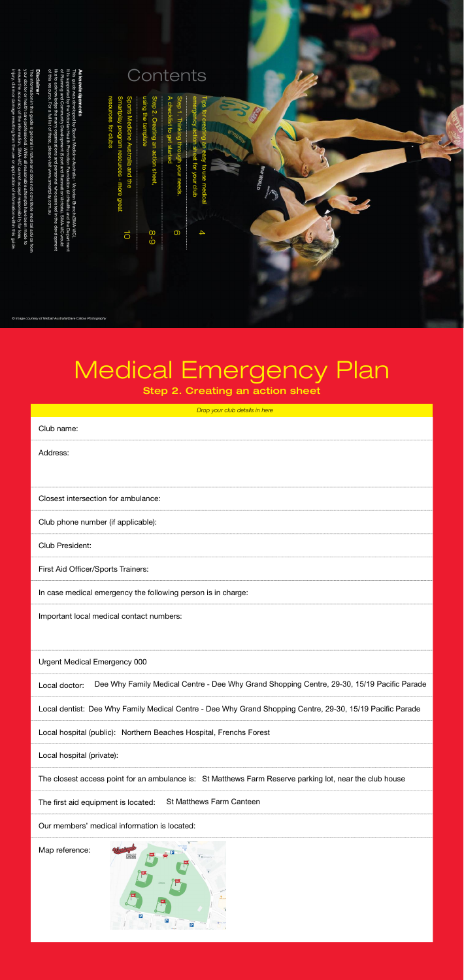Urgent Medical Emergency 000

Local doctor: Dee Why Family Medical Centre - Dee Why Grand Shopping Centre, 29-30, 15/19 Pacific Parade

Local dentist: Dee Why Family Medical Centre - Dee Why Grand Shopping Centre, 29-30, 15/19 Pacific Parade

Local hospital (public): Northern Beaches Hospital, Frenchs Forest

Local hospital (private):

The closest access point for an ambulance is: St Matthews Farm Reserve parking lot, near the club house

The first aid equipment is located: St Matthews Farm Canteen

Our members' medical information is located:

Map reference:

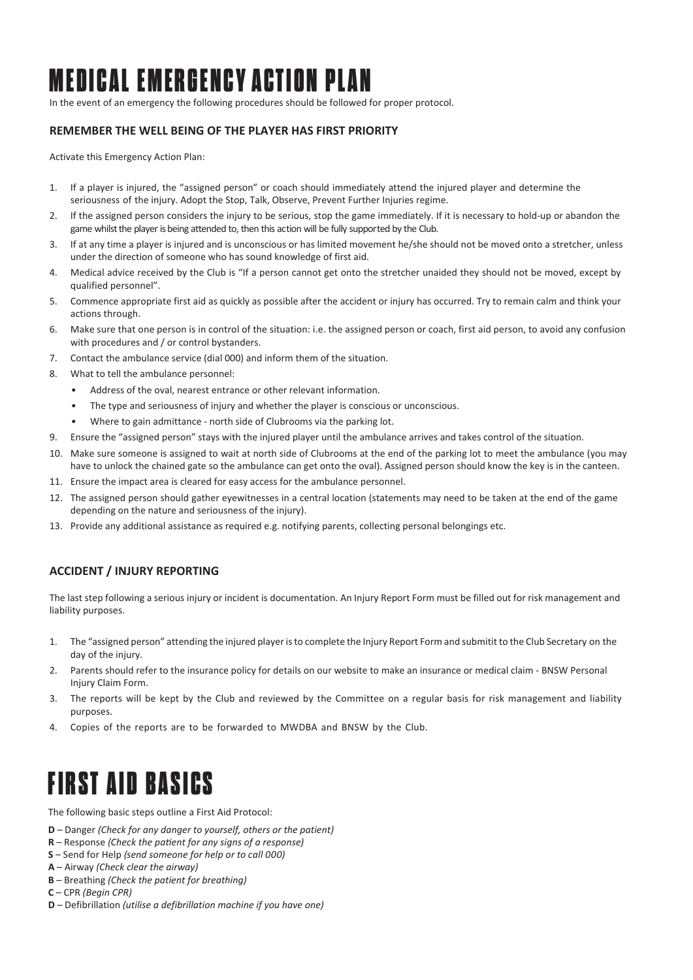## MEDICAL EMERGENCY ACTION PLAN

In the event of an emergency the following procedures should be followed for proper protocol.

#### **REMEMBER THE WELL BEING OF THE PLAYER HAS FIRST PRIORITY**

Activate this Emergency Action Plan:

- 1. If a player is injured, the "assigned person" or coach should immediately attend the injured player and determine the seriousness of the injury. Adopt the Stop, Talk, Observe, Prevent Further Injuries regime.
- 2. If the assigned person considers the injury to be serious, stop the game immediately. If it is necessary to hold-up or abandon the game whilst the player is being attended to, then this action will be fully supported by the Club.
- 3. If at any time a player is injured and is unconscious or has limited movement he/she should not be moved onto a stretcher, unless under the direction of someone who has sound knowledge of first aid.
- 4. Medical advice received by the Club is "If a person cannot get onto the stretcher unaided they should not be moved, except by qualified personnel".
- 5. Commence appropriate first aid as quickly as possible after the accident or injury has occurred. Try to remain calm and think your actions through.
- 6. Make sure that one person is in control of the situation: i.e. the assigned person or coach, first aid person, to avoid any confusion with procedures and / or control bystanders.
- 7. Contact the ambulance service (dial 000) and inform them of the situation.
- 8. What to tell the ambulance personnel:
	- Address of the oval, nearest entrance or other relevant information.
	- The type and seriousness of injury and whether the player is conscious or unconscious.
	- Where to gain admittance north side of Clubrooms via the parking lot.
- 9. Ensure the "assigned person" stays with the injured player until the ambulance arrives and takes control of the situation.
- 10. Make sure someone is assigned to wait at north side of Clubrooms at the end of the parking lot to meet the ambulance (you may have to unlock the chained gate so the ambulance can get onto the oval). Assigned person should know the key is in the canteen.
- 11. Ensure the impact area is cleared for easy access for the ambulance personnel.
- 12. The assigned person should gather eyewitnesses in a central location (statements may need to be taken at the end of the game depending on the nature and seriousness of the injury).
- 13. Provide any additional assistance as required e.g. notifying parents, collecting personal belongings etc.

#### **ACCIDENT / INJURY REPORTING**

The last step following a serious injury or incident is documentation. An Injury Report Form must be filled out for risk management and liability purposes.

- 1. The "assigned person" attending the injured player is to complete the Injury Report Form and submitit to the Club Secretary on the day of the injury.
- 2. Parents should refer to the insurance policy for details on our website to make an insurance or medical claim BNSW Personal Injury Claim Form.
- 3. The reports will be kept by the Club and reviewed by the Committee on a regular basis for risk management and liability purposes.
- 4. Copies of the reports are to be forwarded to MWDBA and BNSW by the Club.

### FIRST AID BASICS

The following basic steps outline a First Aid Protocol:

- **D** Danger *(Check for any danger to yourself, others or the patient)*
- **R** Response *(Check the patient for any signs of a response)*
- **S** Send for Help *(send someone for help or to call 000)*
- **A**  Airway *(Check clear the airway)*
- **B** Breathing *(Check the patient for breathing)*
- **C** CPR *(Begin CPR)*
- **D** Defibrillation *(utilise a defibrillation machine if you have one)*